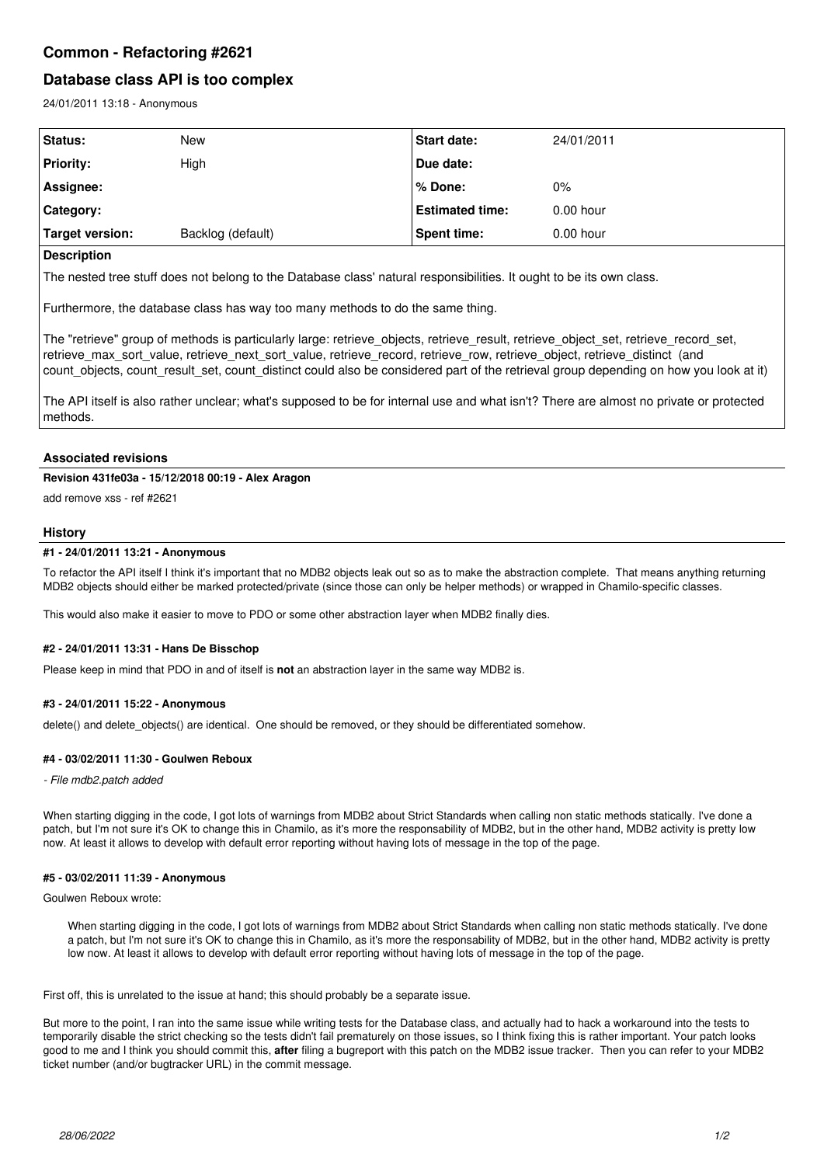# **Common - Refactoring #2621**

# **Database class API is too complex**

24/01/2011 13:18 - Anonymous

| Status:          | <b>New</b>        | Start date:            | 24/01/2011  |
|------------------|-------------------|------------------------|-------------|
| <b>Priority:</b> | High              | Due date:              |             |
| Assignee:        |                   | ∣% Done:               | 0%          |
| Category:        |                   | <b>Estimated time:</b> | $0.00$ hour |
| Target version:  | Backlog (default) | <b>Spent time:</b>     | $0.00$ hour |

## **Description**

The nested tree stuff does not belong to the Database class' natural responsibilities. It ought to be its own class.

Furthermore, the database class has way too many methods to do the same thing.

The "retrieve" group of methods is particularly large: retrieve\_objects, retrieve\_result, retrieve\_object\_set, retrieve\_record\_set, retrieve\_max\_sort\_value, retrieve\_next\_sort\_value, retrieve\_record, retrieve\_row, retrieve\_object, retrieve\_distinct (and count\_objects, count\_result\_set, count\_distinct could also be considered part of the retrieval group depending on how you look at it)

The API itself is also rather unclear; what's supposed to be for internal use and what isn't? There are almost no private or protected methods.

## **Associated revisions**

## **Revision 431fe03a - 15/12/2018 00:19 - Alex Aragon**

add remove xss - ref #2621

## **History**

## **#1 - 24/01/2011 13:21 - Anonymous**

To refactor the API itself I think it's important that no MDB2 objects leak out so as to make the abstraction complete. That means anything returning MDB2 objects should either be marked protected/private (since those can only be helper methods) or wrapped in Chamilo-specific classes.

This would also make it easier to move to PDO or some other abstraction layer when MDB2 finally dies.

#### **#2 - 24/01/2011 13:31 - Hans De Bisschop**

Please keep in mind that PDO in and of itself is **not** an abstraction layer in the same way MDB2 is.

#### **#3 - 24/01/2011 15:22 - Anonymous**

delete() and delete\_objects() are identical. One should be removed, or they should be differentiated somehow.

#### **#4 - 03/02/2011 11:30 - Goulwen Reboux**

*- File mdb2.patch added*

When starting digging in the code, I got lots of warnings from MDB2 about Strict Standards when calling non static methods statically. I've done a patch, but I'm not sure it's OK to change this in Chamilo, as it's more the responsability of MDB2, but in the other hand, MDB2 activity is pretty low now. At least it allows to develop with default error reporting without having lots of message in the top of the page.

#### **#5 - 03/02/2011 11:39 - Anonymous**

Goulwen Reboux wrote:

When starting digging in the code, I got lots of warnings from MDB2 about Strict Standards when calling non static methods statically. I've done a patch, but I'm not sure it's OK to change this in Chamilo, as it's more the responsability of MDB2, but in the other hand, MDB2 activity is pretty low now. At least it allows to develop with default error reporting without having lots of message in the top of the page.

First off, this is unrelated to the issue at hand; this should probably be a separate issue.

But more to the point, I ran into the same issue while writing tests for the Database class, and actually had to hack a workaround into the tests to temporarily disable the strict checking so the tests didn't fail prematurely on those issues, so I think fixing this is rather important. Your patch looks good to me and I think you should commit this, **after** filing a bugreport with this patch on the MDB2 issue tracker. Then you can refer to your MDB2 ticket number (and/or bugtracker URL) in the commit message.